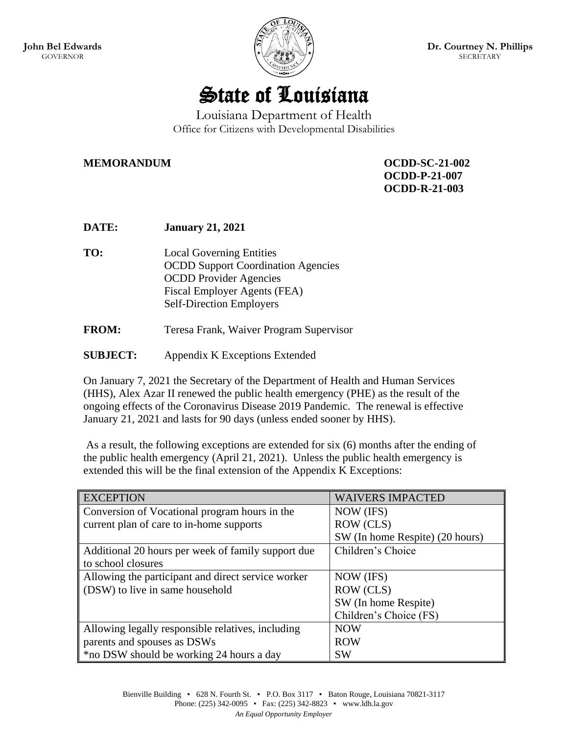



## Louisiana Department of Health Office for Citizens with Developmental Disabilities

**MEMORANDUM OCDD-SC-21-002**

**OCDD-P-21-007 OCDD-R-21-003**

| <b>DATE:</b> | <b>January 21, 2021</b>                                                                                                                                                          |
|--------------|----------------------------------------------------------------------------------------------------------------------------------------------------------------------------------|
| TO:          | <b>Local Governing Entities</b><br><b>OCDD Support Coordination Agencies</b><br><b>OCDD</b> Provider Agencies<br>Fiscal Employer Agents (FEA)<br><b>Self-Direction Employers</b> |
| <b>FROM:</b> | Teresa Frank, Waiver Program Supervisor                                                                                                                                          |

**SUBJECT:** Appendix K Exceptions Extended

On January 7, 2021 the Secretary of the Department of Health and Human Services (HHS), Alex Azar II renewed the public health emergency (PHE) as the result of the ongoing effects of the Coronavirus Disease 2019 Pandemic. The renewal is effective January 21, 2021 and lasts for 90 days (unless ended sooner by HHS).

As a result, the following exceptions are extended for six (6) months after the ending of the public health emergency (April 21, 2021). Unless the public health emergency is extended this will be the final extension of the Appendix K Exceptions:

| <b>EXCEPTION</b>                                   | <b>WAIVERS IMPACTED</b>         |
|----------------------------------------------------|---------------------------------|
| Conversion of Vocational program hours in the      | NOW (IFS)                       |
| current plan of care to in-home supports           | ROW (CLS)                       |
|                                                    | SW (In home Respite) (20 hours) |
| Additional 20 hours per week of family support due | Children's Choice               |
| to school closures                                 |                                 |
| Allowing the participant and direct service worker | NOW (IFS)                       |
| (DSW) to live in same household                    | ROW (CLS)                       |
|                                                    | SW (In home Respite)            |
|                                                    | Children's Choice (FS)          |
| Allowing legally responsible relatives, including  | <b>NOW</b>                      |
| parents and spouses as DSWs                        | <b>ROW</b>                      |
| *no DSW should be working 24 hours a day           | <b>SW</b>                       |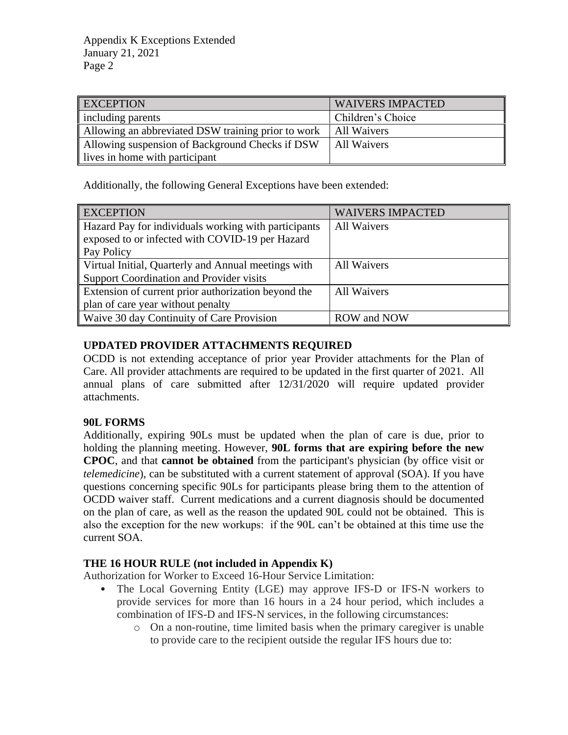Appendix K Exceptions Extended January 21, 2021 Page 2

| <b>EXCEPTION</b>                                   | <b>WAIVERS IMPACTED</b> |
|----------------------------------------------------|-------------------------|
| including parents                                  | Children's Choice       |
| Allowing an abbreviated DSW training prior to work | All Waivers             |
| Allowing suspension of Background Checks if DSW    | All Waivers             |
| lives in home with participant                     |                         |

Additionally, the following General Exceptions have been extended:

| <b>EXCEPTION</b>                                     | <b>WAIVERS IMPACTED</b> |
|------------------------------------------------------|-------------------------|
| Hazard Pay for individuals working with participants | <b>All Waivers</b>      |
| exposed to or infected with COVID-19 per Hazard      |                         |
| Pay Policy                                           |                         |
| Virtual Initial, Quarterly and Annual meetings with  | <b>All Waivers</b>      |
| Support Coordination and Provider visits             |                         |
| Extension of current prior authorization beyond the  | <b>All Waivers</b>      |
| plan of care year without penalty                    |                         |
| Waive 30 day Continuity of Care Provision            | <b>ROW</b> and NOW      |

## **UPDATED PROVIDER ATTACHMENTS REQUIRED**

OCDD is not extending acceptance of prior year Provider attachments for the Plan of Care. All provider attachments are required to be updated in the first quarter of 2021. All annual plans of care submitted after 12/31/2020 will require updated provider attachments.

## **90L FORMS**

Additionally, expiring 90Ls must be updated when the plan of care is due, prior to holding the planning meeting. However, **90L forms that are expiring before the new CPOC**, and that **cannot be obtained** from the participant's physician (by office visit or *telemedicine*), can be substituted with a current statement of approval (SOA). If you have questions concerning specific 90Ls for participants please bring them to the attention of OCDD waiver staff. Current medications and a current diagnosis should be documented on the plan of care, as well as the reason the updated 90L could not be obtained. This is also the exception for the new workups: if the 90L can't be obtained at this time use the current SOA.

## **THE 16 HOUR RULE (not included in Appendix K)**

Authorization for Worker to Exceed 16-Hour Service Limitation:

- The Local Governing Entity (LGE) may approve IFS-D or IFS-N workers to provide services for more than 16 hours in a 24 hour period, which includes a combination of IFS-D and IFS-N services, in the following circumstances:
	- o On a non-routine, time limited basis when the primary caregiver is unable to provide care to the recipient outside the regular IFS hours due to: